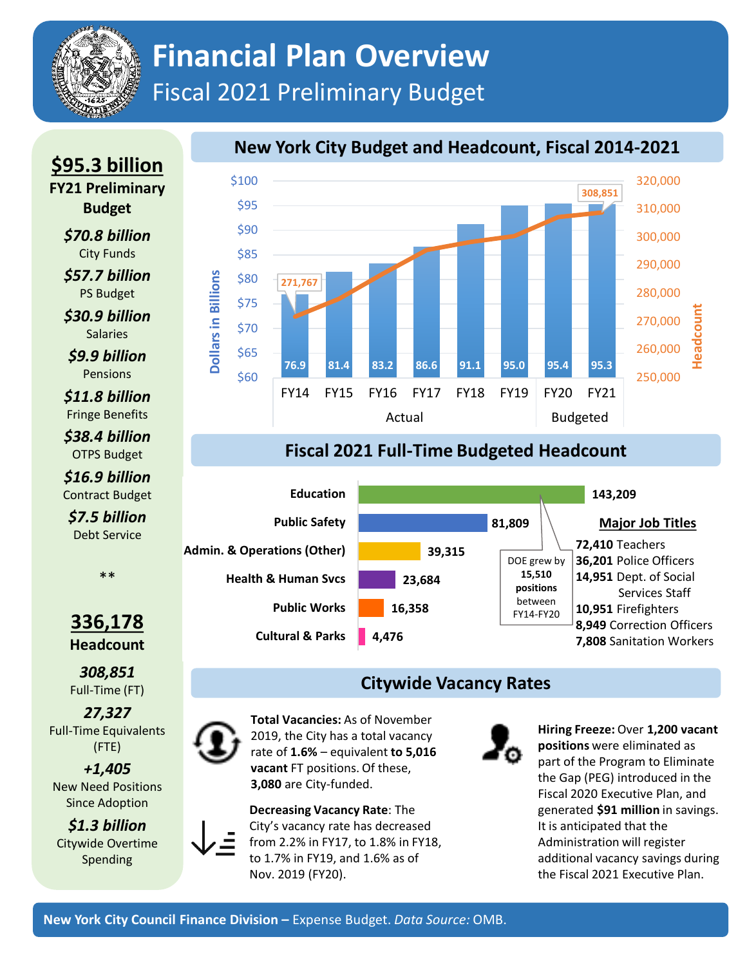# **Financial Plan Overview**  Fiscal 2021 Preliminary Budget

#### **New York City Budget and Headcount, Fiscal 2014-2021**



### **Fiscal 2021 Full-Time Budgeted Headcount**



### **Citywide Vacancy Rates**

**Total Vacancies:** As of November 2019, the City has a total vacancy rate of **1.6%** – equivalent **to 5,016 vacant** FT positions. Of these, **3,080** are City-funded.



**Hiring Freeze:** Over **1,200 vacant positions** were eliminated as part of the Program to Eliminate the Gap (PEG) introduced in the Fiscal 2020 Executive Plan, and generated **\$91 million** in savings. It is anticipated that the Administration will register additional vacancy savings during the Fiscal 2021 Executive Plan.

**FY21 Preliminary Budget** *\$70.8 billion* City Funds *\$57.7 billion*

**\$95.3 billion**

PS Budget *\$30.9 billion*

**Salaries** *\$9.9 billion*

Pensions

*\$11.8 billion* Fringe Benefits

*\$38.4 billion* OTPS Budget

*\$16.9 billion* Contract Budget *\$7.5 billion* Debt Service

\*\*

#### **336,178 Headcount**

*308,851* Full-Time (FT)

*27,327* Full-Time Equivalents (FTE)

*+1,405*  New Need Positions Since Adoption

*\$1.3 billion* Citywide Overtime Spending